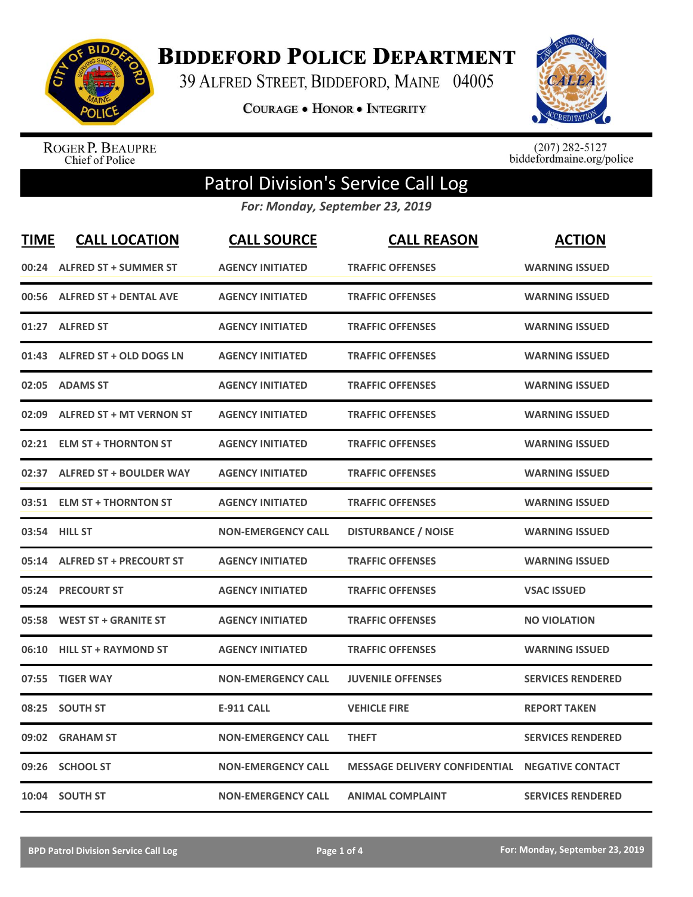

**BIDDEFORD POLICE DEPARTMENT** 

39 ALFRED STREET, BIDDEFORD, MAINE 04005

**COURAGE . HONOR . INTEGRITY** 



ROGER P. BEAUPRE<br>Chief of Police

 $(207)$  282-5127<br>biddefordmaine.org/police

## Patrol Division's Service Call Log

*For: Monday, September 23, 2019*

| <b>TIME</b> | <b>CALL LOCATION</b>            | <b>CALL SOURCE</b>        | <b>CALL REASON</b>                   | <b>ACTION</b>            |
|-------------|---------------------------------|---------------------------|--------------------------------------|--------------------------|
|             | 00:24 ALFRED ST + SUMMER ST     | <b>AGENCY INITIATED</b>   | <b>TRAFFIC OFFENSES</b>              | <b>WARNING ISSUED</b>    |
|             | 00:56 ALFRED ST + DENTAL AVE    | <b>AGENCY INITIATED</b>   | <b>TRAFFIC OFFENSES</b>              | <b>WARNING ISSUED</b>    |
| 01:27       | <b>ALFRED ST</b>                | <b>AGENCY INITIATED</b>   | <b>TRAFFIC OFFENSES</b>              | <b>WARNING ISSUED</b>    |
|             | 01:43 ALFRED ST + OLD DOGS LN   | <b>AGENCY INITIATED</b>   | <b>TRAFFIC OFFENSES</b>              | <b>WARNING ISSUED</b>    |
| 02:05       | <b>ADAMS ST</b>                 | <b>AGENCY INITIATED</b>   | <b>TRAFFIC OFFENSES</b>              | <b>WARNING ISSUED</b>    |
| 02:09       | <b>ALFRED ST + MT VERNON ST</b> | <b>AGENCY INITIATED</b>   | <b>TRAFFIC OFFENSES</b>              | <b>WARNING ISSUED</b>    |
| 02:21       | <b>ELM ST + THORNTON ST</b>     | <b>AGENCY INITIATED</b>   | <b>TRAFFIC OFFENSES</b>              | <b>WARNING ISSUED</b>    |
| 02:37       | <b>ALFRED ST + BOULDER WAY</b>  | <b>AGENCY INITIATED</b>   | <b>TRAFFIC OFFENSES</b>              | <b>WARNING ISSUED</b>    |
| 03:51       | <b>ELM ST + THORNTON ST</b>     | <b>AGENCY INITIATED</b>   | <b>TRAFFIC OFFENSES</b>              | <b>WARNING ISSUED</b>    |
|             | 03:54 HILL ST                   | <b>NON-EMERGENCY CALL</b> | <b>DISTURBANCE / NOISE</b>           | <b>WARNING ISSUED</b>    |
|             | 05:14 ALFRED ST + PRECOURT ST   | <b>AGENCY INITIATED</b>   | <b>TRAFFIC OFFENSES</b>              | <b>WARNING ISSUED</b>    |
|             | 05:24 PRECOURT ST               | <b>AGENCY INITIATED</b>   | <b>TRAFFIC OFFENSES</b>              | <b>VSAC ISSUED</b>       |
| 05:58       | <b>WEST ST + GRANITE ST</b>     | <b>AGENCY INITIATED</b>   | <b>TRAFFIC OFFENSES</b>              | <b>NO VIOLATION</b>      |
| 06:10       | <b>HILL ST + RAYMOND ST</b>     | <b>AGENCY INITIATED</b>   | <b>TRAFFIC OFFENSES</b>              | <b>WARNING ISSUED</b>    |
| 07:55       | <b>TIGER WAY</b>                | <b>NON-EMERGENCY CALL</b> | <b>JUVENILE OFFENSES</b>             | <b>SERVICES RENDERED</b> |
| 08:25       | <b>SOUTH ST</b>                 | <b>E-911 CALL</b>         | <b>VEHICLE FIRE</b>                  | <b>REPORT TAKEN</b>      |
| 09:02       | <b>GRAHAM ST</b>                | <b>NON-EMERGENCY CALL</b> | <b>THEFT</b>                         | <b>SERVICES RENDERED</b> |
| 09:26       | <b>SCHOOL ST</b>                | <b>NON-EMERGENCY CALL</b> | <b>MESSAGE DELIVERY CONFIDENTIAL</b> | <b>NEGATIVE CONTACT</b>  |
|             | 10:04 SOUTH ST                  | <b>NON-EMERGENCY CALL</b> | <b>ANIMAL COMPLAINT</b>              | <b>SERVICES RENDERED</b> |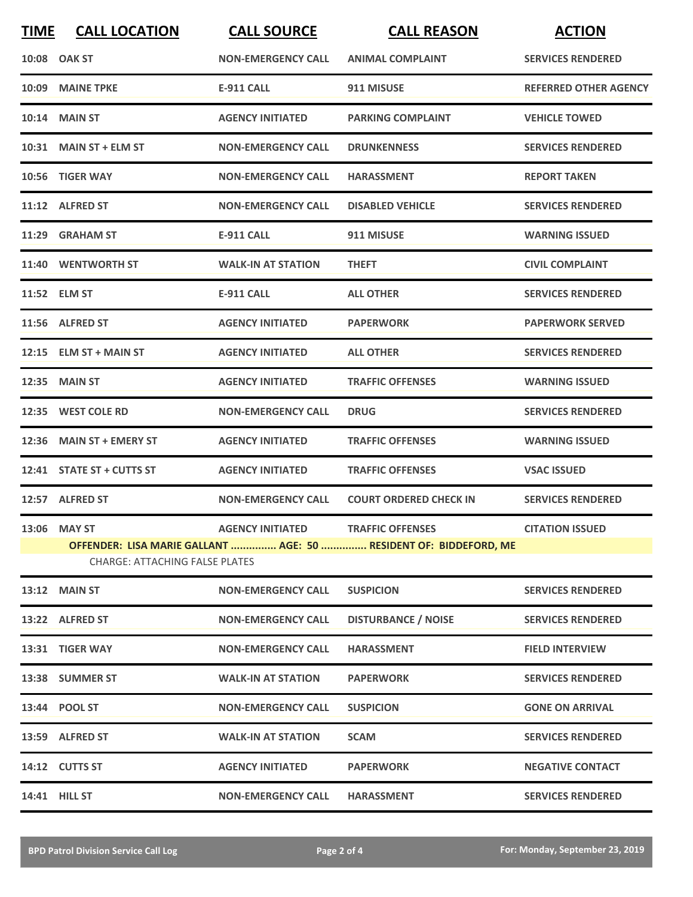| <b>TIME</b> | <b>CALL LOCATION</b>                  | <b>CALL SOURCE</b>                       | <b>CALL REASON</b>                                                | <b>ACTION</b>                |
|-------------|---------------------------------------|------------------------------------------|-------------------------------------------------------------------|------------------------------|
|             | 10:08 OAK ST                          | <b>NON-EMERGENCY CALL</b>                | <b>ANIMAL COMPLAINT</b>                                           | <b>SERVICES RENDERED</b>     |
|             | 10:09 MAINE TPKE                      | <b>E-911 CALL</b>                        | 911 MISUSE                                                        | <b>REFERRED OTHER AGENCY</b> |
|             | <b>10:14 MAIN ST</b>                  | <b>AGENCY INITIATED</b>                  | <b>PARKING COMPLAINT</b>                                          | <b>VEHICLE TOWED</b>         |
|             | 10:31 MAIN ST + ELM ST                | <b>NON-EMERGENCY CALL</b>                | <b>DRUNKENNESS</b>                                                | <b>SERVICES RENDERED</b>     |
|             | 10:56 TIGER WAY                       | <b>NON-EMERGENCY CALL</b>                | <b>HARASSMENT</b>                                                 | <b>REPORT TAKEN</b>          |
|             | 11:12 ALFRED ST                       | <b>NON-EMERGENCY CALL</b>                | <b>DISABLED VEHICLE</b>                                           | <b>SERVICES RENDERED</b>     |
|             | 11:29 GRAHAM ST                       | <b>E-911 CALL</b>                        | 911 MISUSE                                                        | <b>WARNING ISSUED</b>        |
|             | 11:40 WENTWORTH ST                    | <b>WALK-IN AT STATION</b>                | <b>THEFT</b>                                                      | <b>CIVIL COMPLAINT</b>       |
|             | 11:52 ELM ST                          | <b>E-911 CALL</b>                        | <b>ALL OTHER</b>                                                  | <b>SERVICES RENDERED</b>     |
|             | 11:56 ALFRED ST                       | <b>AGENCY INITIATED</b>                  | <b>PAPERWORK</b>                                                  | <b>PAPERWORK SERVED</b>      |
|             | $12:15$ ELM ST + MAIN ST              | <b>AGENCY INITIATED</b>                  | <b>ALL OTHER</b>                                                  | <b>SERVICES RENDERED</b>     |
| 12:35       | <b>MAIN ST</b>                        | <b>AGENCY INITIATED</b>                  | <b>TRAFFIC OFFENSES</b>                                           | <b>WARNING ISSUED</b>        |
|             | 12:35 WEST COLE RD                    | <b>NON-EMERGENCY CALL</b>                | <b>DRUG</b>                                                       | <b>SERVICES RENDERED</b>     |
|             | 12:36 MAIN ST + EMERY ST              | <b>AGENCY INITIATED</b>                  | <b>TRAFFIC OFFENSES</b>                                           | <b>WARNING ISSUED</b>        |
|             | 12:41 STATE ST + CUTTS ST             | <b>AGENCY INITIATED</b>                  | <b>TRAFFIC OFFENSES</b>                                           | <b>VSAC ISSUED</b>           |
|             | 12:57 ALFRED ST                       | <b>NON-EMERGENCY CALL</b>                | <b>COURT ORDERED CHECK IN</b>                                     | <b>SERVICES RENDERED</b>     |
|             | 13:06 MAY ST                          | <b>AGENCY INITIATED TRAFFIC OFFENSES</b> |                                                                   | <b>CITATION ISSUED</b>       |
|             | <b>CHARGE: ATTACHING FALSE PLATES</b> |                                          | OFFENDER: LISA MARIE GALLANT  AGE: 50  RESIDENT OF: BIDDEFORD, ME |                              |
|             | <b>13:12 MAIN ST</b>                  | <b>NON-EMERGENCY CALL</b>                | <b>SUSPICION</b>                                                  | <b>SERVICES RENDERED</b>     |
|             | 13:22 ALFRED ST                       | <b>NON-EMERGENCY CALL</b>                | <b>DISTURBANCE / NOISE</b>                                        | <b>SERVICES RENDERED</b>     |
|             | 13:31 TIGER WAY                       | <b>NON-EMERGENCY CALL</b>                | <b>HARASSMENT</b>                                                 | <b>FIELD INTERVIEW</b>       |
|             | 13:38 SUMMER ST                       | <b>WALK-IN AT STATION</b>                | <b>PAPERWORK</b>                                                  | <b>SERVICES RENDERED</b>     |
|             | 13:44 POOL ST                         | <b>NON-EMERGENCY CALL</b>                | <b>SUSPICION</b>                                                  | <b>GONE ON ARRIVAL</b>       |
|             | 13:59 ALFRED ST                       | <b>WALK-IN AT STATION</b>                | <b>SCAM</b>                                                       | <b>SERVICES RENDERED</b>     |
|             | 14:12 CUTTS ST                        | <b>AGENCY INITIATED</b>                  | <b>PAPERWORK</b>                                                  | <b>NEGATIVE CONTACT</b>      |
|             | 14:41 HILL ST                         | <b>NON-EMERGENCY CALL</b>                | <b>HARASSMENT</b>                                                 | <b>SERVICES RENDERED</b>     |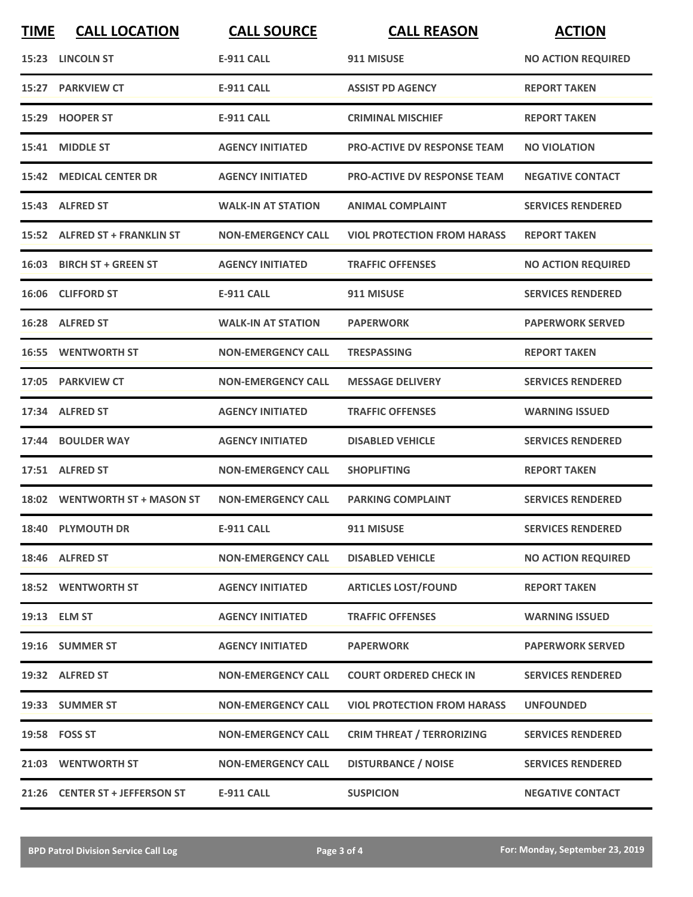| <b>TIME</b> | <b>CALL LOCATION</b>           | <b>CALL SOURCE</b>        | <b>CALL REASON</b>                 | <b>ACTION</b>             |
|-------------|--------------------------------|---------------------------|------------------------------------|---------------------------|
|             | 15:23 LINCOLN ST               | <b>E-911 CALL</b>         | 911 MISUSE                         | <b>NO ACTION REQUIRED</b> |
|             | 15:27 PARKVIEW CT              | <b>E-911 CALL</b>         | <b>ASSIST PD AGENCY</b>            | <b>REPORT TAKEN</b>       |
|             | 15:29 HOOPER ST                | <b>E-911 CALL</b>         | <b>CRIMINAL MISCHIEF</b>           | <b>REPORT TAKEN</b>       |
|             | 15:41 MIDDLE ST                | <b>AGENCY INITIATED</b>   | <b>PRO-ACTIVE DV RESPONSE TEAM</b> | <b>NO VIOLATION</b>       |
|             | <b>15:42 MEDICAL CENTER DR</b> | <b>AGENCY INITIATED</b>   | <b>PRO-ACTIVE DV RESPONSE TEAM</b> | <b>NEGATIVE CONTACT</b>   |
|             | 15:43 ALFRED ST                | <b>WALK-IN AT STATION</b> | <b>ANIMAL COMPLAINT</b>            | <b>SERVICES RENDERED</b>  |
|             | 15:52 ALFRED ST + FRANKLIN ST  | <b>NON-EMERGENCY CALL</b> | <b>VIOL PROTECTION FROM HARASS</b> | <b>REPORT TAKEN</b>       |
|             | 16:03 BIRCH ST + GREEN ST      | <b>AGENCY INITIATED</b>   | <b>TRAFFIC OFFENSES</b>            | <b>NO ACTION REQUIRED</b> |
|             | 16:06 CLIFFORD ST              | <b>E-911 CALL</b>         | 911 MISUSE                         | <b>SERVICES RENDERED</b>  |
|             | 16:28 ALFRED ST                | <b>WALK-IN AT STATION</b> | <b>PAPERWORK</b>                   | <b>PAPERWORK SERVED</b>   |
|             | <b>16:55 WENTWORTH ST</b>      | <b>NON-EMERGENCY CALL</b> | <b>TRESPASSING</b>                 | <b>REPORT TAKEN</b>       |
|             | 17:05 PARKVIEW CT              | <b>NON-EMERGENCY CALL</b> | <b>MESSAGE DELIVERY</b>            | <b>SERVICES RENDERED</b>  |
|             | 17:34 ALFRED ST                | <b>AGENCY INITIATED</b>   | <b>TRAFFIC OFFENSES</b>            | <b>WARNING ISSUED</b>     |
|             | 17:44 BOULDER WAY              | <b>AGENCY INITIATED</b>   | <b>DISABLED VEHICLE</b>            | <b>SERVICES RENDERED</b>  |
|             | 17:51 ALFRED ST                | <b>NON-EMERGENCY CALL</b> | <b>SHOPLIFTING</b>                 | <b>REPORT TAKEN</b>       |
|             | 18:02 WENTWORTH ST + MASON ST  | <b>NON-EMERGENCY CALL</b> | <b>PARKING COMPLAINT</b>           | <b>SERVICES RENDERED</b>  |
|             | 18:40 PLYMOUTH DR              | <b>E-911 CALL</b>         | 911 MISUSE                         | <b>SERVICES RENDERED</b>  |
|             | 18:46 ALFRED ST                | <b>NON-EMERGENCY CALL</b> | <b>DISABLED VEHICLE</b>            | <b>NO ACTION REQUIRED</b> |
|             | <b>18:52 WENTWORTH ST</b>      | <b>AGENCY INITIATED</b>   | <b>ARTICLES LOST/FOUND</b>         | <b>REPORT TAKEN</b>       |
|             | 19:13 ELM ST                   | <b>AGENCY INITIATED</b>   | <b>TRAFFIC OFFENSES</b>            | <b>WARNING ISSUED</b>     |
|             | 19:16 SUMMER ST                | <b>AGENCY INITIATED</b>   | <b>PAPERWORK</b>                   | <b>PAPERWORK SERVED</b>   |
|             | 19:32 ALFRED ST                | <b>NON-EMERGENCY CALL</b> | <b>COURT ORDERED CHECK IN</b>      | <b>SERVICES RENDERED</b>  |
|             | 19:33 SUMMER ST                | <b>NON-EMERGENCY CALL</b> | <b>VIOL PROTECTION FROM HARASS</b> | <b>UNFOUNDED</b>          |
|             | 19:58 FOSS ST                  | <b>NON-EMERGENCY CALL</b> | <b>CRIM THREAT / TERRORIZING</b>   | <b>SERVICES RENDERED</b>  |
|             | 21:03 WENTWORTH ST             | <b>NON-EMERGENCY CALL</b> | <b>DISTURBANCE / NOISE</b>         | <b>SERVICES RENDERED</b>  |
|             | 21:26 CENTER ST + JEFFERSON ST | <b>E-911 CALL</b>         | <b>SUSPICION</b>                   | <b>NEGATIVE CONTACT</b>   |